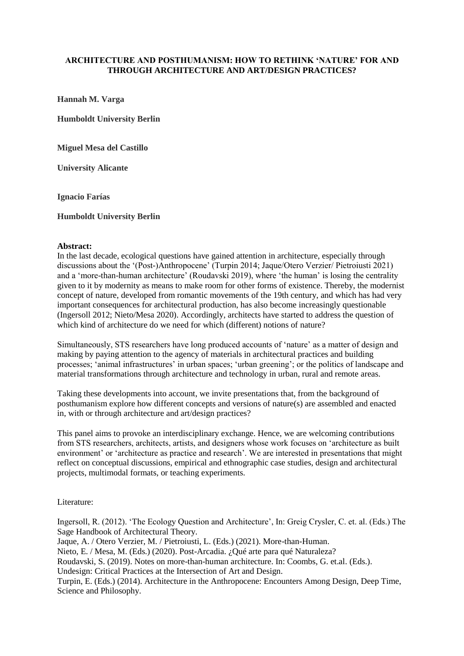## **ARCHITECTURE AND POSTHUMANISM: HOW TO RETHINK 'NATURE' FOR AND THROUGH ARCHITECTURE AND ART/DESIGN PRACTICES?**

**Hannah M. Varga**

**Humboldt University Berlin**

**Miguel Mesa del Castillo**

**University Alicante**

**Ignacio Farías**

**Humboldt University Berlin**

## **Abstract:**

In the last decade, ecological questions have gained attention in architecture, especially through discussions about the '(Post-)Anthropocene' (Turpin 2014; Jaque/Otero Verzier/ Pietroiusti 2021) and a 'more-than-human architecture' (Roudavski 2019), where 'the human' is losing the centrality given to it by modernity as means to make room for other forms of existence. Thereby, the modernist concept of nature, developed from romantic movements of the 19th century, and which has had very important consequences for architectural production, has also become increasingly questionable (Ingersoll 2012; Nieto/Mesa 2020). Accordingly, architects have started to address the question of which kind of architecture do we need for which (different) notions of nature?

Simultaneously, STS researchers have long produced accounts of 'nature' as a matter of design and making by paying attention to the agency of materials in architectural practices and building processes; 'animal infrastructures' in urban spaces; 'urban greening'; or the politics of landscape and material transformations through architecture and technology in urban, rural and remote areas.

Taking these developments into account, we invite presentations that, from the background of posthumanism explore how different concepts and versions of nature(s) are assembled and enacted in, with or through architecture and art/design practices?

This panel aims to provoke an interdisciplinary exchange. Hence, we are welcoming contributions from STS researchers, architects, artists, and designers whose work focuses on 'architecture as built environment' or 'architecture as practice and research'. We are interested in presentations that might reflect on conceptual discussions, empirical and ethnographic case studies, design and architectural projects, multimodal formats, or teaching experiments.

Literature:

Ingersoll, R. (2012). 'The Ecology Question and Architecture', In: Greig Crysler, C. et. al. (Eds.) The Sage Handbook of Architectural Theory.

Jaque, A. / Otero Verzier, M. / Pietroiusti, L. (Eds.) (2021). More-than-Human.

Nieto, E. / Mesa, M. (Eds.) (2020). Post-Arcadia. ¿Qué arte para qué Naturaleza?

Roudavski, S. (2019). Notes on more-than-human architecture. In: Coombs, G. et.al. (Eds.).

Undesign: Critical Practices at the Intersection of Art and Design.

Turpin, E. (Eds.) (2014). Architecture in the Anthropocene: Encounters Among Design, Deep Time, Science and Philosophy.